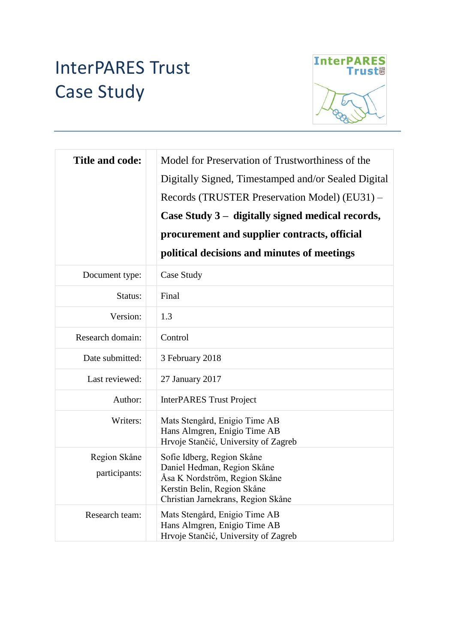# InterPARES Trust Case Study



| <b>Title and code:</b>        | Model for Preservation of Trustworthiness of the<br>Digitally Signed, Timestamped and/or Sealed Digital<br>Records (TRUSTER Preservation Model) (EU31) -<br>Case Study 3 – digitally signed medical records,<br>procurement and supplier contracts, official<br>political decisions and minutes of meetings |
|-------------------------------|-------------------------------------------------------------------------------------------------------------------------------------------------------------------------------------------------------------------------------------------------------------------------------------------------------------|
| Document type:                | Case Study                                                                                                                                                                                                                                                                                                  |
| Status:                       | Final                                                                                                                                                                                                                                                                                                       |
| Version:                      | 1.3                                                                                                                                                                                                                                                                                                         |
| Research domain:              | Control                                                                                                                                                                                                                                                                                                     |
| Date submitted:               | 3 February 2018                                                                                                                                                                                                                                                                                             |
| Last reviewed:                | 27 January 2017                                                                                                                                                                                                                                                                                             |
| Author:                       | <b>InterPARES Trust Project</b>                                                                                                                                                                                                                                                                             |
| Writers:                      | Mats Stengård, Enigio Time AB<br>Hans Almgren, Enigio Time AB<br>Hrvoje Stančić, University of Zagreb                                                                                                                                                                                                       |
| Region Skåne<br>participants: | Sofie Idberg, Region Skåne<br>Daniel Hedman, Region Skåne<br>Åsa K Nordström, Region Skåne<br>Kerstin Belin, Region Skåne<br>Christian Jarnekrans, Region Skåne                                                                                                                                             |
| Research team:                | Mats Stengård, Enigio Time AB<br>Hans Almgren, Enigio Time AB<br>Hrvoje Stančić, University of Zagreb                                                                                                                                                                                                       |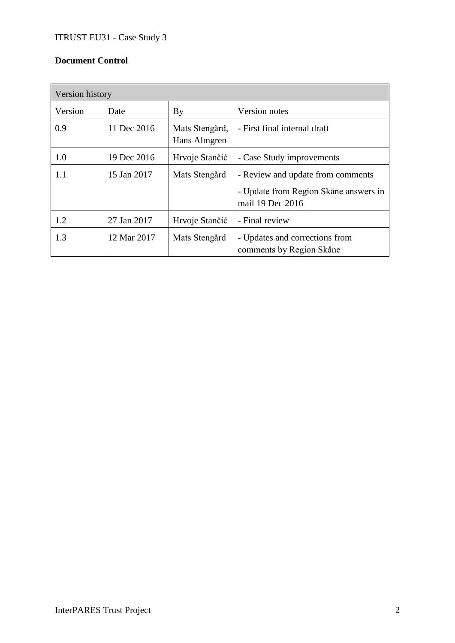## **Document Control**

| Version history |             |                                |                                                                                                |  |  |
|-----------------|-------------|--------------------------------|------------------------------------------------------------------------------------------------|--|--|
| Version         | Date        | By                             | Version notes                                                                                  |  |  |
| 0.9             | 11 Dec 2016 | Mats Stengård,<br>Hans Almgren | - First final internal draft                                                                   |  |  |
| 1.0             | 19 Dec 2016 | Hrvoje Stančić                 | - Case Study improvements                                                                      |  |  |
| 1.1             | 15 Jan 2017 | Mats Stengård                  | - Review and update from comments<br>- Update from Region Skåne answers in<br>mail 19 Dec 2016 |  |  |
| 1.2             | 27 Jan 2017 | Hrvoje Stančić                 | - Final review                                                                                 |  |  |
| 1.3             | 12 Mar 2017 | Mats Stengård                  | - Updates and corrections from<br>comments by Region Skåne                                     |  |  |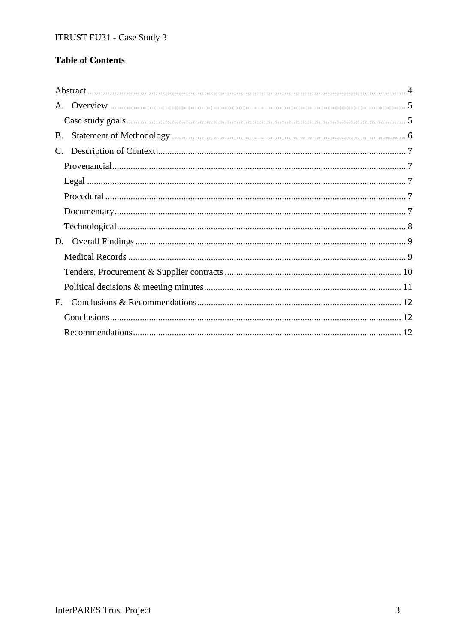# **Table of Contents**

| B.          |  |
|-------------|--|
| $C_{\cdot}$ |  |
|             |  |
|             |  |
|             |  |
|             |  |
|             |  |
|             |  |
|             |  |
|             |  |
|             |  |
| E.          |  |
|             |  |
|             |  |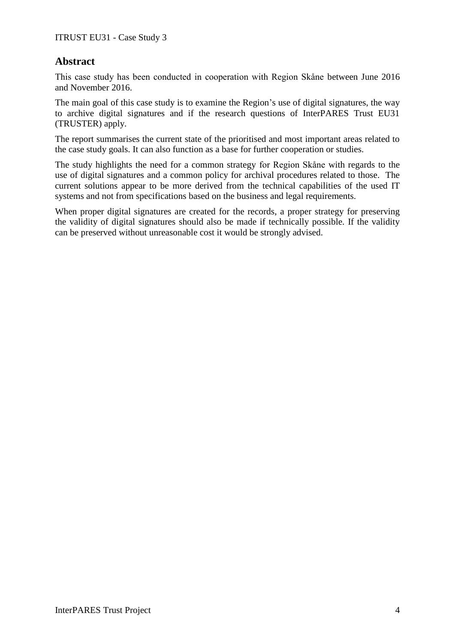# **Abstract**

This case study has been conducted in cooperation with Region Skåne between June 2016 and November 2016.

The main goal of this case study is to examine the Region's use of digital signatures, the way to archive digital signatures and if the research questions of InterPARES Trust EU31 (TRUSTER) apply.

The report summarises the current state of the prioritised and most important areas related to the case study goals. It can also function as a base for further cooperation or studies.

The study highlights the need for a common strategy for Region Skåne with regards to the use of digital signatures and a common policy for archival procedures related to those. The current solutions appear to be more derived from the technical capabilities of the used IT systems and not from specifications based on the business and legal requirements.

When proper digital signatures are created for the records, a proper strategy for preserving the validity of digital signatures should also be made if technically possible. If the validity can be preserved without unreasonable cost it would be strongly advised.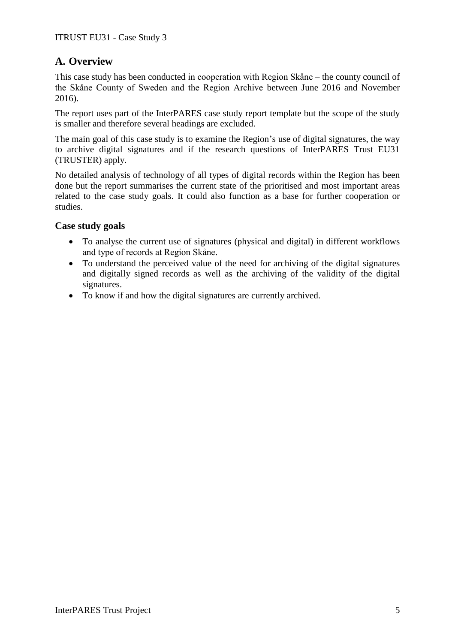# **A. Overview**

This case study has been conducted in cooperation with Region Skåne – the county council of the Skåne County of Sweden and the Region Archive between June 2016 and November 2016).

The report uses part of the InterPARES case study report template but the scope of the study is smaller and therefore several headings are excluded.

The main goal of this case study is to examine the Region's use of digital signatures, the way to archive digital signatures and if the research questions of InterPARES Trust EU31 (TRUSTER) apply.

No detailed analysis of technology of all types of digital records within the Region has been done but the report summarises the current state of the prioritised and most important areas related to the case study goals. It could also function as a base for further cooperation or studies.

## **Case study goals**

- To analyse the current use of signatures (physical and digital) in different workflows and type of records at Region Skåne.
- To understand the perceived value of the need for archiving of the digital signatures and digitally signed records as well as the archiving of the validity of the digital signatures.
- To know if and how the digital signatures are currently archived.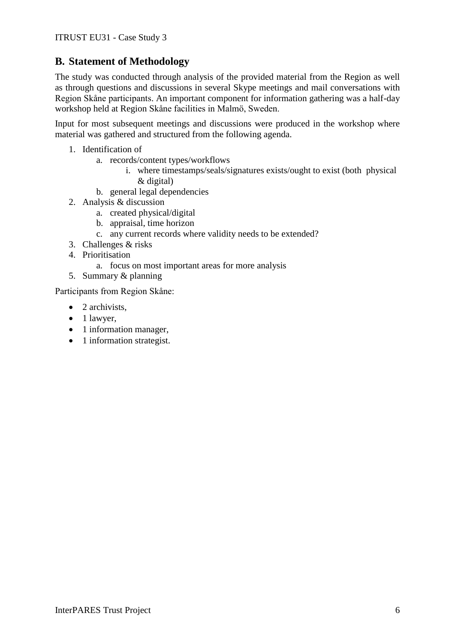# **B. Statement of Methodology**

The study was conducted through analysis of the provided material from the Region as well as through questions and discussions in several Skype meetings and mail conversations with Region Skåne participants. An important component for information gathering was a half-day workshop held at Region Skåne facilities in Malmö, Sweden.

Input for most subsequent meetings and discussions were produced in the workshop where material was gathered and structured from the following agenda.

- 1. Identification of
	- a. records/content types/workflows
		- i. where timestamps/seals/signatures exists/ought to exist (both physical & digital)
	- b. general legal dependencies
- 2. Analysis & discussion
	- a. created physical/digital
	- b. appraisal, time horizon
	- c. any current records where validity needs to be extended?
- 3. Challenges & risks
- 4. Prioritisation
	- a. focus on most important areas for more analysis
- 5. Summary & planning

Participants from Region Skåne:

- $\bullet$  2 archivists.
- $\bullet$  1 lawyer,
- 1 information manager,
- 1 information strategist.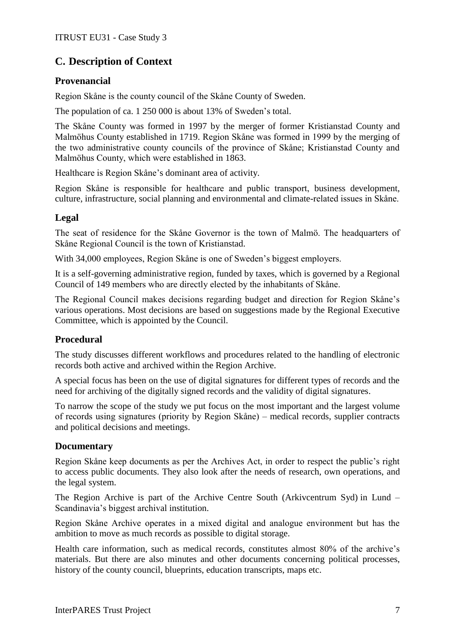# **C. Description of Context**

## **Provenancial**

Region Skåne is the county council of the Skåne County of Sweden.

The population of ca. 1 250 000 is about 13% of Sweden's total.

The Skåne County was formed in 1997 by the merger of former Kristianstad County and Malmöhus County established in 1719. Region Skåne was formed in 1999 by the merging of the two administrative county councils of the province of Skåne; Kristianstad County and Malmöhus County, which were established in 1863.

Healthcare is Region Skåne's dominant area of activity.

Region Skåne is responsible for healthcare and public transport, business development, culture, infrastructure, social planning and environmental and climate-related issues in Skåne.

## **Legal**

The seat of residence for the Skåne Governor is the town of Malmö. The headquarters of Skåne Regional Council is the town of Kristianstad.

With 34,000 employees, Region Skåne is one of Sweden's biggest employers.

It is a self-governing administrative region, funded by taxes, which is governed by a Regional Council of 149 members who are directly elected by the inhabitants of Skåne.

The Regional Council makes decisions regarding budget and direction for Region Skåne's various operations. Most decisions are based on suggestions made by the Regional Executive Committee, which is appointed by the Council.

# **Procedural**

The study discusses different workflows and procedures related to the handling of electronic records both active and archived within the Region Archive.

A special focus has been on the use of digital signatures for different types of records and the need for archiving of the digitally signed records and the validity of digital signatures.

To narrow the scope of the study we put focus on the most important and the largest volume of records using signatures (priority by Region Skåne) – medical records, supplier contracts and political decisions and meetings.

## **Documentary**

Region Skåne keep documents as per the Archives Act, in order to respect the public's right to access public documents. They also look after the needs of research, own operations, and the legal system.

The Region Archive is part of the Archive Centre South (Arkivcentrum Syd) in Lund – Scandinavia's biggest archival institution.

Region Skåne Archive operates in a mixed digital and analogue environment but has the ambition to move as much records as possible to digital storage.

Health care information, such as medical records, constitutes almost 80% of the archive's materials. But there are also minutes and other documents concerning political processes, history of the county council, blueprints, education transcripts, maps etc.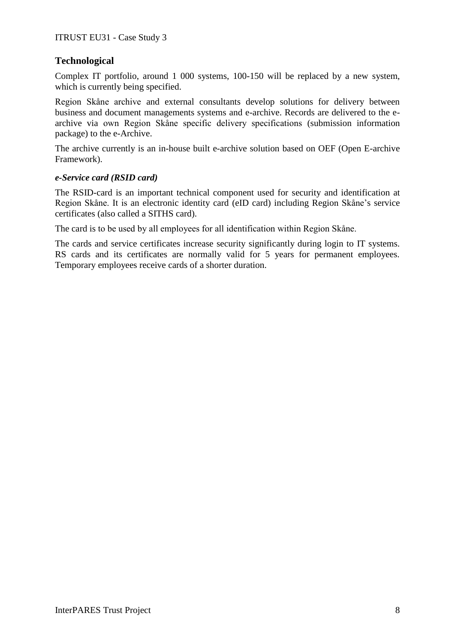## **Technological**

Complex IT portfolio, around 1 000 systems, 100-150 will be replaced by a new system, which is currently being specified.

Region Skåne archive and external consultants develop solutions for delivery between business and document managements systems and e-archive. Records are delivered to the earchive via own Region Skåne specific delivery specifications (submission information package) to the e-Archive.

The archive currently is an in-house built e-archive solution based on OEF (Open E-archive Framework).

#### *e-Service card (RSID card)*

The RSID-card is an important technical component used for security and identification at Region Skåne. It is an electronic identity card (eID card) including Region Skåne's service certificates (also called a SITHS card).

The card is to be used by all employees for all identification within Region Skåne.

The cards and service certificates increase security significantly during login to IT systems. RS cards and its certificates are normally valid for 5 years for permanent employees. Temporary employees receive cards of a shorter duration.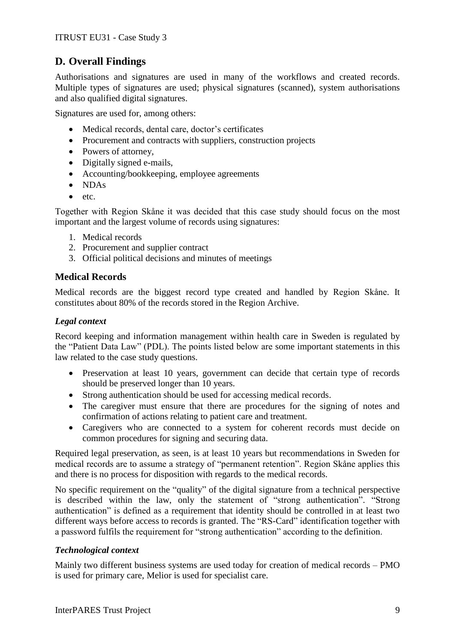# **D. Overall Findings**

Authorisations and signatures are used in many of the workflows and created records. Multiple types of signatures are used; physical signatures (scanned), system authorisations and also qualified digital signatures.

Signatures are used for, among others:

- Medical records, dental care, doctor's certificates
- Procurement and contracts with suppliers, construction projects
- Powers of attorney,
- Digitally signed e-mails,
- Accounting/bookkeeping, employee agreements
- NDAs
- $etc.$

Together with Region Skåne it was decided that this case study should focus on the most important and the largest volume of records using signatures:

- 1. Medical records
- 2. Procurement and supplier contract
- 3. Official political decisions and minutes of meetings

## **Medical Records**

Medical records are the biggest record type created and handled by Region Skåne. It constitutes about 80% of the records stored in the Region Archive.

## *Legal context*

Record keeping and information management within health care in Sweden is regulated by the "Patient Data Law" (PDL). The points listed below are some important statements in this law related to the case study questions.

- Preservation at least 10 years, government can decide that certain type of records should be preserved longer than 10 years.
- Strong authentication should be used for accessing medical records.
- The caregiver must ensure that there are procedures for the signing of notes and confirmation of actions relating to patient care and treatment.
- Caregivers who are connected to a system for coherent records must decide on common procedures for signing and securing data.

Required legal preservation, as seen, is at least 10 years but recommendations in Sweden for medical records are to assume a strategy of "permanent retention". Region Skåne applies this and there is no process for disposition with regards to the medical records.

No specific requirement on the "quality" of the digital signature from a technical perspective is described within the law, only the statement of "strong authentication". "Strong authentication" is defined as a requirement that identity should be controlled in at least two different ways before access to records is granted. The "RS-Card" identification together with a password fulfils the requirement for "strong authentication" according to the definition.

#### *Technological context*

Mainly two different business systems are used today for creation of medical records – PMO is used for primary care, Melior is used for specialist care.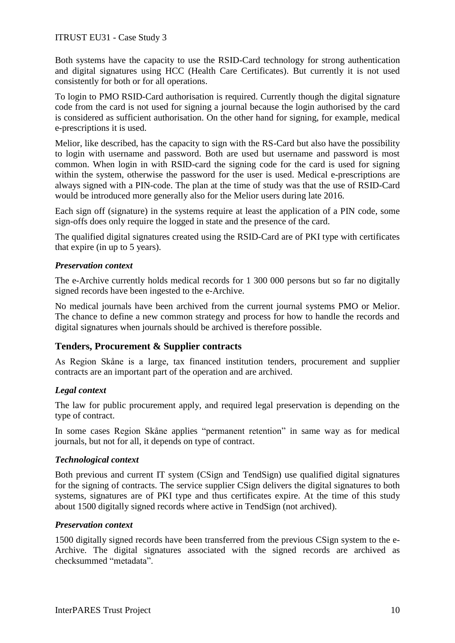#### ITRUST EU31 - Case Study 3

Both systems have the capacity to use the RSID-Card technology for strong authentication and digital signatures using HCC (Health Care Certificates). But currently it is not used consistently for both or for all operations.

To login to PMO RSID-Card authorisation is required. Currently though the digital signature code from the card is not used for signing a journal because the login authorised by the card is considered as sufficient authorisation. On the other hand for signing, for example, medical e-prescriptions it is used.

Melior, like described, has the capacity to sign with the RS-Card but also have the possibility to login with username and password. Both are used but username and password is most common. When login in with RSID-card the signing code for the card is used for signing within the system, otherwise the password for the user is used. Medical e-prescriptions are always signed with a PIN-code. The plan at the time of study was that the use of RSID-Card would be introduced more generally also for the Melior users during late 2016.

Each sign off (signature) in the systems require at least the application of a PIN code, some sign-offs does only require the logged in state and the presence of the card.

The qualified digital signatures created using the RSID-Card are of PKI type with certificates that expire (in up to 5 years).

#### *Preservation context*

The e-Archive currently holds medical records for 1 300 000 persons but so far no digitally signed records have been ingested to the e-Archive.

No medical journals have been archived from the current journal systems PMO or Melior. The chance to define a new common strategy and process for how to handle the records and digital signatures when journals should be archived is therefore possible.

#### **Tenders, Procurement & Supplier contracts**

As Region Skåne is a large, tax financed institution tenders, procurement and supplier contracts are an important part of the operation and are archived.

#### *Legal context*

The law for public procurement apply, and required legal preservation is depending on the type of contract.

In some cases Region Skåne applies "permanent retention" in same way as for medical journals, but not for all, it depends on type of contract.

#### *Technological context*

Both previous and current IT system (CSign and TendSign) use qualified digital signatures for the signing of contracts. The service supplier CSign delivers the digital signatures to both systems, signatures are of PKI type and thus certificates expire. At the time of this study about 1500 digitally signed records where active in TendSign (not archived).

#### *Preservation context*

1500 digitally signed records have been transferred from the previous CSign system to the e-Archive. The digital signatures associated with the signed records are archived as checksummed "metadata".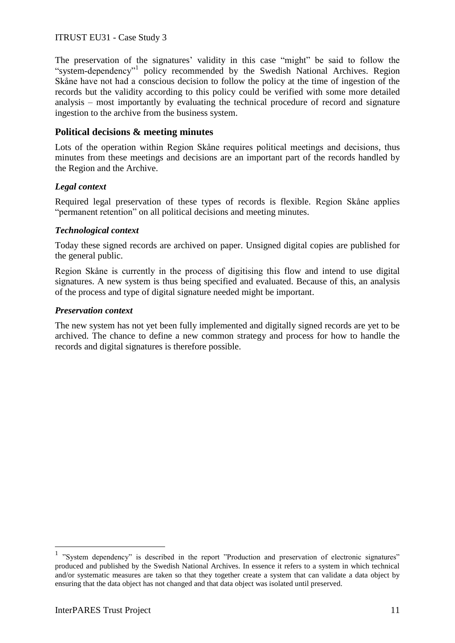#### ITRUST EU31 - Case Study 3

The preservation of the signatures' validity in this case "might" be said to follow the "system-dependency"<sup>1</sup> policy recommended by the Swedish National Archives. Region Skåne have not had a conscious decision to follow the policy at the time of ingestion of the records but the validity according to this policy could be verified with some more detailed analysis – most importantly by evaluating the technical procedure of record and signature ingestion to the archive from the business system.

#### **Political decisions & meeting minutes**

Lots of the operation within Region Skåne requires political meetings and decisions, thus minutes from these meetings and decisions are an important part of the records handled by the Region and the Archive.

#### *Legal context*

Required legal preservation of these types of records is flexible. Region Skåne applies "permanent retention" on all political decisions and meeting minutes.

#### *Technological context*

Today these signed records are archived on paper. Unsigned digital copies are published for the general public.

Region Skåne is currently in the process of digitising this flow and intend to use digital signatures. A new system is thus being specified and evaluated. Because of this, an analysis of the process and type of digital signature needed might be important.

#### *Preservation context*

The new system has not yet been fully implemented and digitally signed records are yet to be archived. The chance to define a new common strategy and process for how to handle the records and digital signatures is therefore possible.

1

<sup>&</sup>lt;sup>1</sup> "System dependency" is described in the report "Production and preservation of electronic signatures" produced and published by the Swedish National Archives. In essence it refers to a system in which technical and/or systematic measures are taken so that they together create a system that can validate a data object by ensuring that the data object has not changed and that data object was isolated until preserved.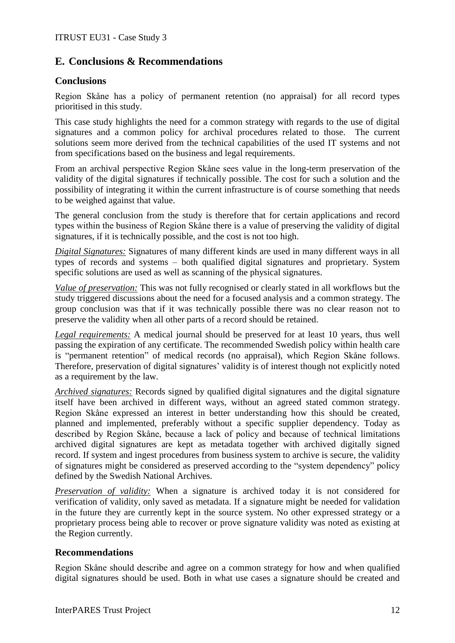# **E. Conclusions & Recommendations**

## **Conclusions**

Region Skåne has a policy of permanent retention (no appraisal) for all record types prioritised in this study.

This case study highlights the need for a common strategy with regards to the use of digital signatures and a common policy for archival procedures related to those. The current solutions seem more derived from the technical capabilities of the used IT systems and not from specifications based on the business and legal requirements.

From an archival perspective Region Skåne sees value in the long-term preservation of the validity of the digital signatures if technically possible. The cost for such a solution and the possibility of integrating it within the current infrastructure is of course something that needs to be weighed against that value.

The general conclusion from the study is therefore that for certain applications and record types within the business of Region Skåne there is a value of preserving the validity of digital signatures, if it is technically possible, and the cost is not too high.

*Digital Signatures:* Signatures of many different kinds are used in many different ways in all types of records and systems – both qualified digital signatures and proprietary. System specific solutions are used as well as scanning of the physical signatures.

*Value of preservation:* This was not fully recognised or clearly stated in all workflows but the study triggered discussions about the need for a focused analysis and a common strategy. The group conclusion was that if it was technically possible there was no clear reason not to preserve the validity when all other parts of a record should be retained.

*Legal requirements:* A medical journal should be preserved for at least 10 years, thus well passing the expiration of any certificate. The recommended Swedish policy within health care is "permanent retention" of medical records (no appraisal), which Region Skåne follows. Therefore, preservation of digital signatures' validity is of interest though not explicitly noted as a requirement by the law.

*Archived signatures:* Records signed by qualified digital signatures and the digital signature itself have been archived in different ways, without an agreed stated common strategy. Region Skåne expressed an interest in better understanding how this should be created, planned and implemented, preferably without a specific supplier dependency. Today as described by Region Skåne, because a lack of policy and because of technical limitations archived digital signatures are kept as metadata together with archived digitally signed record. If system and ingest procedures from business system to archive is secure, the validity of signatures might be considered as preserved according to the "system dependency" policy defined by the Swedish National Archives.

*Preservation of validity:* When a signature is archived today it is not considered for verification of validity, only saved as metadata. If a signature might be needed for validation in the future they are currently kept in the source system. No other expressed strategy or a proprietary process being able to recover or prove signature validity was noted as existing at the Region currently.

#### **Recommendations**

Region Skåne should describe and agree on a common strategy for how and when qualified digital signatures should be used. Both in what use cases a signature should be created and